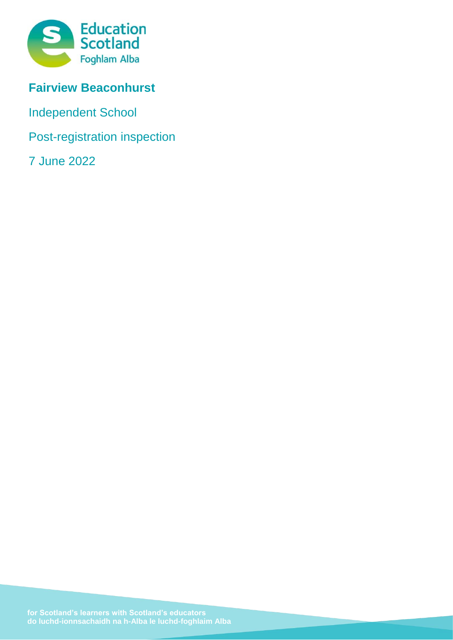

# **Fairview Beaconhurst**

Independent School

Post-registration inspection

7 June 2022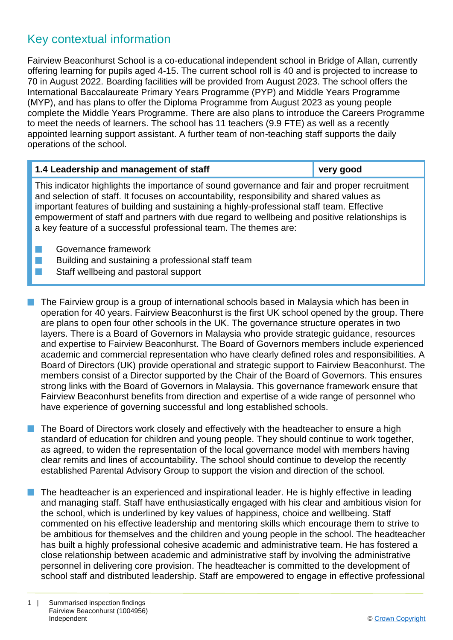## Key contextual information

Fairview Beaconhurst School is a co-educational independent school in Bridge of Allan, currently offering learning for pupils aged 4-15. The current school roll is 40 and is projected to increase to 70 in August 2022. Boarding facilities will be provided from August 2023. The school offers the International Baccalaureate Primary Years Programme (PYP) and Middle Years Programme (MYP), and has plans to offer the Diploma Programme from August 2023 as young people complete the Middle Years Programme. There are also plans to introduce the Careers Programme to meet the needs of learners. The school has 11 teachers (9.9 FTE) as well as a recently appointed learning support assistant. A further team of non-teaching staff supports the daily operations of the school.

| 1.4 Leadership and management of staff                                                       | very good |  |
|----------------------------------------------------------------------------------------------|-----------|--|
| This indicator highlights the importance of sound governance and fair and proper recruitment |           |  |
| and soloction of staff. It focuses on accountability responsibility and shared values as     |           |  |

and selection of staff. It focuses on accountability, responsibility and shared values as important features of building and sustaining a highly-professional staff team. Effective empowerment of staff and partners with due regard to wellbeing and positive relationships is a key feature of a successful professional team. The themes are:

- **n** Governance framework
- **n** Building and sustaining a professional staff team
- **n** Staff wellbeing and pastoral support
- $\blacksquare$  The Fairview group is a group of international schools based in Malaysia which has been in operation for 40 years. Fairview Beaconhurst is the first UK school opened by the group. There are plans to open four other schools in the UK. The governance structure operates in two layers. There is a Board of Governors in Malaysia who provide strategic guidance, resources and expertise to Fairview Beaconhurst. The Board of Governors members include experienced academic and commercial representation who have clearly defined roles and responsibilities. A Board of Directors (UK) provide operational and strategic support to Fairview Beaconhurst. The members consist of a Director supported by the Chair of the Board of Governors. This ensures strong links with the Board of Governors in Malaysia. This governance framework ensure that Fairview Beaconhurst benefits from direction and expertise of a wide range of personnel who have experience of governing successful and long established schools.
- The Board of Directors work closely and effectively with the headteacher to ensure a high standard of education for children and young people. They should continue to work together, as agreed, to widen the representation of the local governance model with members having clear remits and lines of accountability. The school should continue to develop the recently established Parental Advisory Group to support the vision and direction of the school.
- $\blacksquare$  The headteacher is an experienced and inspirational leader. He is highly effective in leading and managing staff. Staff have enthusiastically engaged with his clear and ambitious vision for the school, which is underlined by key values of happiness, choice and wellbeing. Staff commented on his effective leadership and mentoring skills which encourage them to strive to be ambitious for themselves and the children and young people in the school. The headteacher has built a highly professional cohesive academic and administrative team. He has fostered a close relationship between academic and administrative staff by involving the administrative personnel in delivering core provision. The headteacher is committed to the development of school staff and distributed leadership. Staff are empowered to engage in effective professional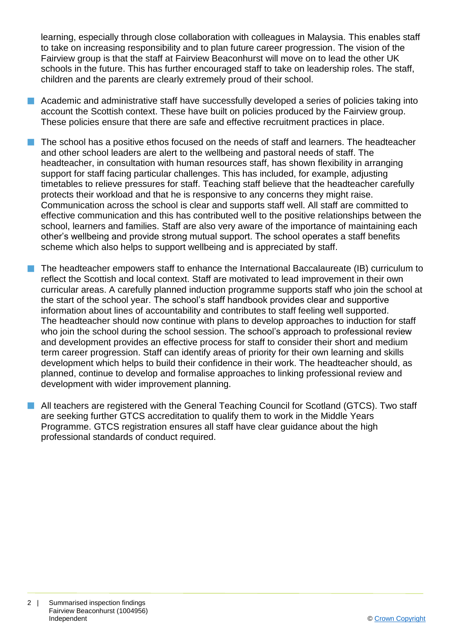learning, especially through close collaboration with colleagues in Malaysia. This enables staff to take on increasing responsibility and to plan future career progression. The vision of the Fairview group is that the staff at Fairview Beaconhurst will move on to lead the other UK schools in the future. This has further encouraged staff to take on leadership roles. The staff, children and the parents are clearly extremely proud of their school.

- $\blacksquare$  Academic and administrative staff have successfully developed a series of policies taking into account the Scottish context. These have built on policies produced by the Fairview group. These policies ensure that there are safe and effective recruitment practices in place.
- $\blacksquare$  The school has a positive ethos focused on the needs of staff and learners. The headteacher and other school leaders are alert to the wellbeing and pastoral needs of staff. The headteacher, in consultation with human resources staff, has shown flexibility in arranging support for staff facing particular challenges. This has included, for example, adjusting timetables to relieve pressures for staff. Teaching staff believe that the headteacher carefully protects their workload and that he is responsive to any concerns they might raise. Communication across the school is clear and supports staff well. All staff are committed to effective communication and this has contributed well to the positive relationships between the school, learners and families. Staff are also very aware of the importance of maintaining each other's wellbeing and provide strong mutual support. The school operates a staff benefits scheme which also helps to support wellbeing and is appreciated by staff.
- $\blacksquare$  The headteacher empowers staff to enhance the International Baccalaureate (IB) curriculum to reflect the Scottish and local context. Staff are motivated to lead improvement in their own curricular areas. A carefully planned induction programme supports staff who join the school at the start of the school year. The school's staff handbook provides clear and supportive information about lines of accountability and contributes to staff feeling well supported. The headteacher should now continue with plans to develop approaches to induction for staff who join the school during the school session. The school's approach to professional review and development provides an effective process for staff to consider their short and medium term career progression. Staff can identify areas of priority for their own learning and skills development which helps to build their confidence in their work. The headteacher should, as planned, continue to develop and formalise approaches to linking professional review and development with wider improvement planning.
	- All teachers are registered with the General Teaching Council for Scotland (GTCS). Two staff are seeking further GTCS accreditation to qualify them to work in the Middle Years Programme. GTCS registration ensures all staff have clear guidance about the high professional standards of conduct required.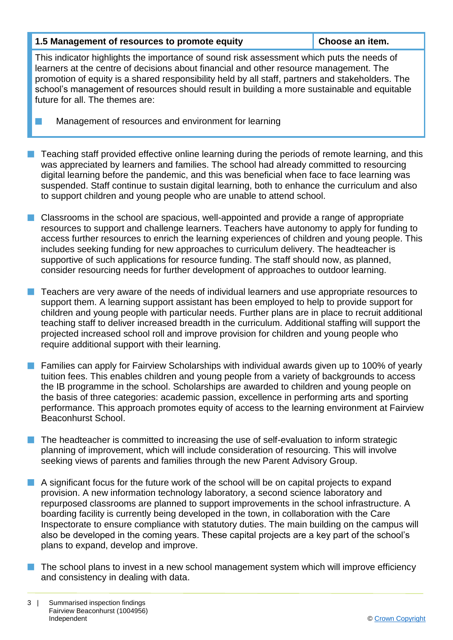#### **1.5 Management of resources to promote equity Choose an item.**

This indicator highlights the importance of sound risk assessment which puts the needs of learners at the centre of decisions about financial and other resource management. The promotion of equity is a shared responsibility held by all staff, partners and stakeholders. The school's management of resources should result in building a more sustainable and equitable future for all. The themes are:

Management of resources and environment for learning

- n Teaching staff provided effective online learning during the periods of remote learning, and this was appreciated by learners and families. The school had already committed to resourcing digital learning before the pandemic, and this was beneficial when face to face learning was suspended. Staff continue to sustain digital learning, both to enhance the curriculum and also to support children and young people who are unable to attend school.
- **n** Classrooms in the school are spacious, well-appointed and provide a range of appropriate resources to support and challenge learners. Teachers have autonomy to apply for funding to access further resources to enrich the learning experiences of children and young people. This includes seeking funding for new approaches to curriculum delivery. The headteacher is supportive of such applications for resource funding. The staff should now, as planned, consider resourcing needs for further development of approaches to outdoor learning.
- n Teachers are very aware of the needs of individual learners and use appropriate resources to support them. A learning support assistant has been employed to help to provide support for children and young people with particular needs. Further plans are in place to recruit additional teaching staff to deliver increased breadth in the curriculum. Additional staffing will support the projected increased school roll and improve provision for children and young people who require additional support with their learning.
- **n** Families can apply for Fairview Scholarships with individual awards given up to 100% of yearly tuition fees. This enables children and young people from a variety of backgrounds to access the IB programme in the school. Scholarships are awarded to children and young people on the basis of three categories: academic passion, excellence in performing arts and sporting performance. This approach promotes equity of access to the learning environment at Fairview Beaconhurst School.
- The headteacher is committed to increasing the use of self-evaluation to inform strategic planning of improvement, which will include consideration of resourcing. This will involve seeking views of parents and families through the new Parent Advisory Group.
- $\blacksquare$  A significant focus for the future work of the school will be on capital projects to expand provision. A new information technology laboratory, a second science laboratory and repurposed classrooms are planned to support improvements in the school infrastructure. A boarding facility is currently being developed in the town, in collaboration with the Care Inspectorate to ensure compliance with statutory duties. The main building on the campus will also be developed in the coming years. These capital projects are a key part of the school's plans to expand, develop and improve.
- $\blacksquare$  The school plans to invest in a new school management system which will improve efficiency and consistency in dealing with data.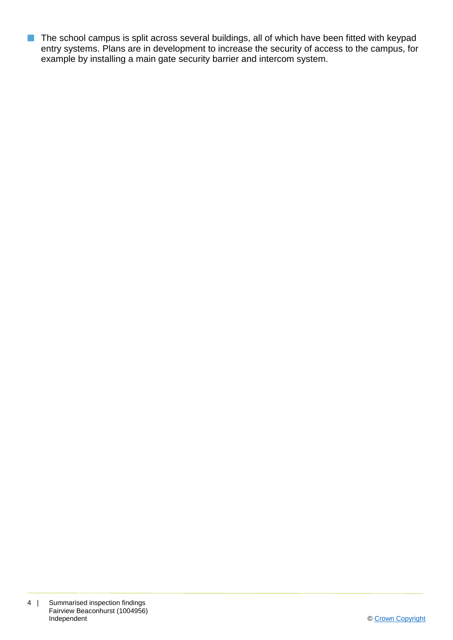**n** The school campus is split across several buildings, all of which have been fitted with keypad entry systems. Plans are in development to increase the security of access to the campus, for example by installing a main gate security barrier and intercom system.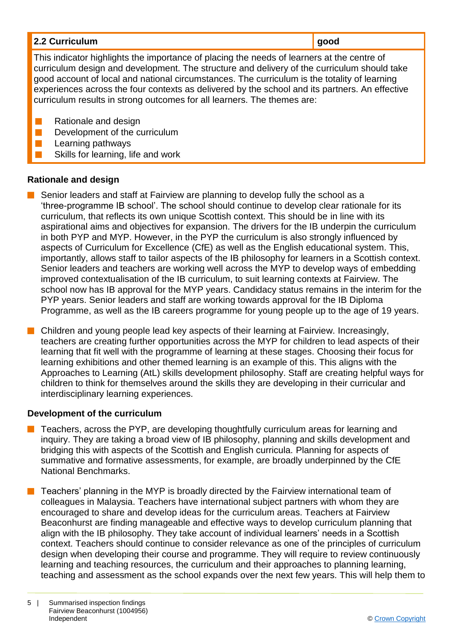| 2.2 Curriculum                                                                             | good |
|--------------------------------------------------------------------------------------------|------|
| This indicator highlights the importance of placing the needs of learners at the centre of |      |

curriculum design and development. The structure and delivery of the curriculum should take good account of local and national circumstances. The curriculum is the totality of learning experiences across the four contexts as delivered by the school and its partners. An effective curriculum results in strong outcomes for all learners. The themes are:

- $\blacksquare$  Rationale and design
- $\blacksquare$  Development of the curriculum
- Learning pathways
- Skills for learning, life and work

### **Rationale and design**

- Senior leaders and staff at Fairview are planning to develop fully the school as a 'three-programme IB school'. The school should continue to develop clear rationale for its curriculum, that reflects its own unique Scottish context. This should be in line with its aspirational aims and objectives for expansion. The drivers for the IB underpin the curriculum in both PYP and MYP. However, in the PYP the curriculum is also strongly influenced by aspects of Curriculum for Excellence (CfE) as well as the English educational system. This, importantly, allows staff to tailor aspects of the IB philosophy for learners in a Scottish context. Senior leaders and teachers are working well across the MYP to develop ways of embedding improved contextualisation of the IB curriculum, to suit learning contexts at Fairview. The school now has IB approval for the MYP years. Candidacy status remains in the interim for the PYP years. Senior leaders and staff are working towards approval for the IB Diploma Programme, as well as the IB careers programme for young people up to the age of 19 years.
- $\blacksquare$  Children and young people lead key aspects of their learning at Fairview. Increasingly, teachers are creating further opportunities across the MYP for children to lead aspects of their learning that fit well with the programme of learning at these stages. Choosing their focus for learning exhibitions and other themed learning is an example of this. This aligns with the Approaches to Learning (AtL) skills development philosophy. Staff are creating helpful ways for children to think for themselves around the skills they are developing in their curricular and interdisciplinary learning experiences.

### **Development of the curriculum**

- n Teachers, across the PYP, are developing thoughtfully curriculum areas for learning and inquiry. They are taking a broad view of IB philosophy, planning and skills development and bridging this with aspects of the Scottish and English curricula. Planning for aspects of summative and formative assessments, for example, are broadly underpinned by the CfE National Benchmarks.
- $\blacksquare$  Teachers' planning in the MYP is broadly directed by the Fairview international team of colleagues in Malaysia. Teachers have international subject partners with whom they are encouraged to share and develop ideas for the curriculum areas. Teachers at Fairview Beaconhurst are finding manageable and effective ways to develop curriculum planning that align with the IB philosophy. They take account of individual learners' needs in a Scottish context. Teachers should continue to consider relevance as one of the principles of curriculum design when developing their course and programme. They will require to review continuously learning and teaching resources, the curriculum and their approaches to planning learning, teaching and assessment as the school expands over the next few years. This will help them to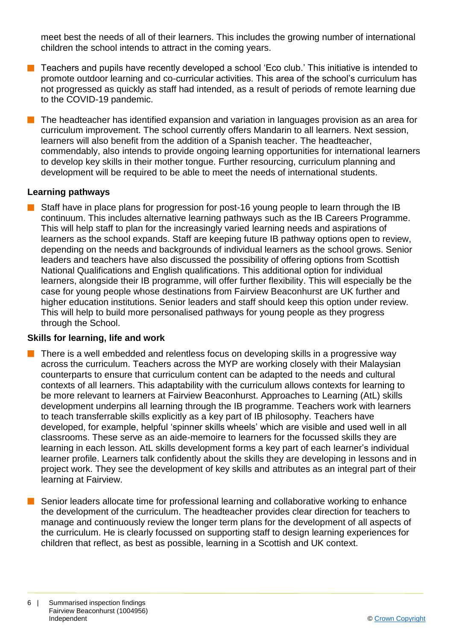meet best the needs of all of their learners. This includes the growing number of international children the school intends to attract in the coming years.

- n Teachers and pupils have recently developed a school 'Eco club.' This initiative is intended to promote outdoor learning and co-curricular activities. This area of the school's curriculum has not progressed as quickly as staff had intended, as a result of periods of remote learning due to the COVID-19 pandemic.
- The headteacher has identified expansion and variation in languages provision as an area for curriculum improvement. The school currently offers Mandarin to all learners. Next session, learners will also benefit from the addition of a Spanish teacher. The headteacher, commendably, also intends to provide ongoing learning opportunities for international learners to develop key skills in their mother tongue. Further resourcing, curriculum planning and development will be required to be able to meet the needs of international students.

#### **Learning pathways**

Staff have in place plans for progression for post-16 young people to learn through the IB continuum. This includes alternative learning pathways such as the IB Careers Programme. This will help staff to plan for the increasingly varied learning needs and aspirations of learners as the school expands. Staff are keeping future IB pathway options open to review, depending on the needs and backgrounds of individual learners as the school grows. Senior leaders and teachers have also discussed the possibility of offering options from Scottish National Qualifications and English qualifications. This additional option for individual learners, alongside their IB programme, will offer further flexibility. This will especially be the case for young people whose destinations from Fairview Beaconhurst are UK further and higher education institutions. Senior leaders and staff should keep this option under review. This will help to build more personalised pathways for young people as they progress through the School.

#### **Skills for learning, life and work**

- There is a well embedded and relentless focus on developing skills in a progressive way across the curriculum. Teachers across the MYP are working closely with their Malaysian counterparts to ensure that curriculum content can be adapted to the needs and cultural contexts of all learners. This adaptability with the curriculum allows contexts for learning to be more relevant to learners at Fairview Beaconhurst. Approaches to Learning (AtL) skills development underpins all learning through the IB programme. Teachers work with learners to teach transferrable skills explicitly as a key part of IB philosophy. Teachers have developed, for example, helpful 'spinner skills wheels' which are visible and used well in all classrooms. These serve as an aide-memoire to learners for the focussed skills they are learning in each lesson. AtL skills development forms a key part of each learner's individual learner profile. Learners talk confidently about the skills they are developing in lessons and in project work. They see the development of key skills and attributes as an integral part of their learning at Fairview.
- Senior leaders allocate time for professional learning and collaborative working to enhance the development of the curriculum. The headteacher provides clear direction for teachers to manage and continuously review the longer term plans for the development of all aspects of the curriculum. He is clearly focussed on supporting staff to design learning experiences for children that reflect, as best as possible, learning in a Scottish and UK context.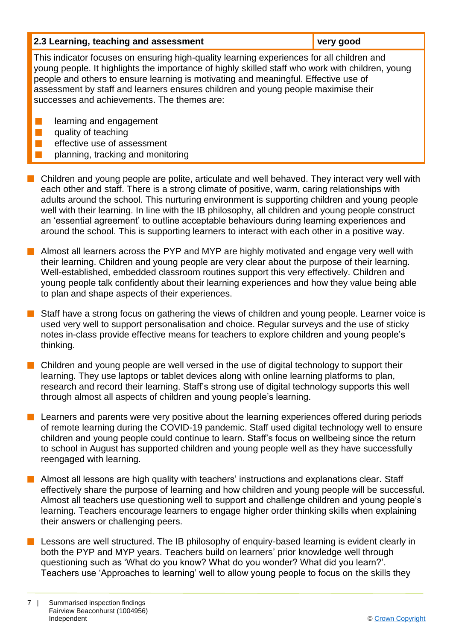| 2.3 Learning, teaching and assessment | very good |
|---------------------------------------|-----------|
|                                       |           |

This indicator focuses on ensuring high-quality learning experiences for all children and young people. It highlights the importance of highly skilled staff who work with children, young people and others to ensure learning is motivating and meaningful. Effective use of assessment by staff and learners ensures children and young people maximise their successes and achievements. The themes are:

- **n** learning and engagement
- $\blacksquare$  quality of teaching
- $\blacksquare$  effective use of assessment
- planning, tracking and monitoring
- $\blacksquare$  Children and young people are polite, articulate and well behaved. They interact very well with each other and staff. There is a strong climate of positive, warm, caring relationships with adults around the school. This nurturing environment is supporting children and young people well with their learning. In line with the IB philosophy, all children and young people construct an 'essential agreement' to outline acceptable behaviours during learning experiences and around the school. This is supporting learners to interact with each other in a positive way.
- $\blacksquare$  Almost all learners across the PYP and MYP are highly motivated and engage very well with their learning. Children and young people are very clear about the purpose of their learning. Well-established, embedded classroom routines support this very effectively. Children and young people talk confidently about their learning experiences and how they value being able to plan and shape aspects of their experiences.
- $\blacksquare$  Staff have a strong focus on gathering the views of children and young people. Learner voice is used very well to support personalisation and choice. Regular surveys and the use of sticky notes in-class provide effective means for teachers to explore children and young people's thinking.
- n Children and young people are well versed in the use of digital technology to support their learning. They use laptops or tablet devices along with online learning platforms to plan, research and record their learning. Staff's strong use of digital technology supports this well through almost all aspects of children and young people's learning.
- $\blacksquare$  Learners and parents were very positive about the learning experiences offered during periods of remote learning during the COVID-19 pandemic. Staff used digital technology well to ensure children and young people could continue to learn. Staff's focus on wellbeing since the return to school in August has supported children and young people well as they have successfully reengaged with learning.
- $\blacksquare$  Almost all lessons are high quality with teachers' instructions and explanations clear. Staff effectively share the purpose of learning and how children and young people will be successful. Almost all teachers use questioning well to support and challenge children and young people's learning. Teachers encourage learners to engage higher order thinking skills when explaining their answers or challenging peers.
- $\blacksquare$  Lessons are well structured. The IB philosophy of enquiry-based learning is evident clearly in both the PYP and MYP years. Teachers build on learners' prior knowledge well through questioning such as 'What do you know? What do you wonder? What did you learn?'. Teachers use 'Approaches to learning' well to allow young people to focus on the skills they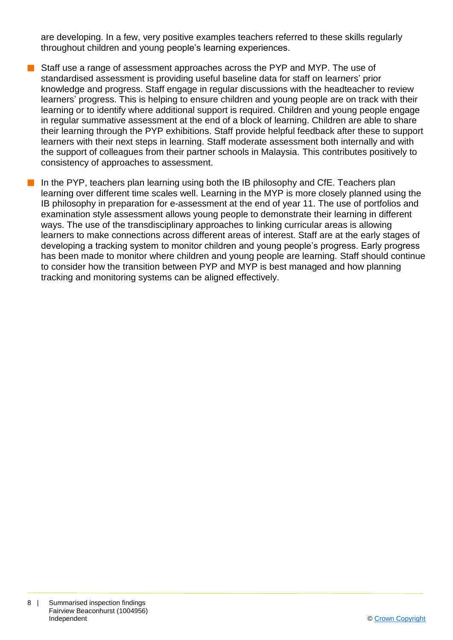are developing. In a few, very positive examples teachers referred to these skills regularly throughout children and young people's learning experiences.

- Staff use a range of assessment approaches across the PYP and MYP. The use of standardised assessment is providing useful baseline data for staff on learners' prior knowledge and progress. Staff engage in regular discussions with the headteacher to review learners' progress. This is helping to ensure children and young people are on track with their learning or to identify where additional support is required. Children and young people engage in regular summative assessment at the end of a block of learning. Children are able to share their learning through the PYP exhibitions. Staff provide helpful feedback after these to support learners with their next steps in learning. Staff moderate assessment both internally and with the support of colleagues from their partner schools in Malaysia. This contributes positively to consistency of approaches to assessment.
	- n In the PYP, teachers plan learning using both the IB philosophy and CfE. Teachers plan learning over different time scales well. Learning in the MYP is more closely planned using the IB philosophy in preparation for e-assessment at the end of year 11. The use of portfolios and examination style assessment allows young people to demonstrate their learning in different ways. The use of the transdisciplinary approaches to linking curricular areas is allowing learners to make connections across different areas of interest. Staff are at the early stages of developing a tracking system to monitor children and young people's progress. Early progress has been made to monitor where children and young people are learning. Staff should continue to consider how the transition between PYP and MYP is best managed and how planning tracking and monitoring systems can be aligned effectively.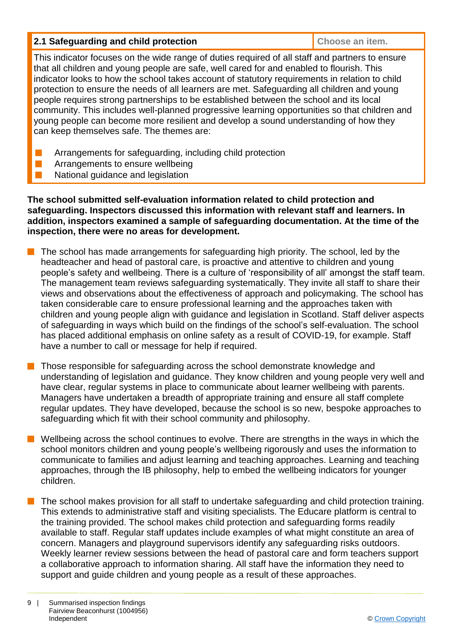#### **2.1 Safeguarding and child protection Choose an item. Choose an item.**

This indicator focuses on the wide range of duties required of all staff and partners to ensure that all children and young people are safe, well cared for and enabled to flourish. This indicator looks to how the school takes account of statutory requirements in relation to child protection to ensure the needs of all learners are met. Safeguarding all children and young people requires strong partnerships to be established between the school and its local community. This includes well-planned progressive learning opportunities so that children and young people can become more resilient and develop a sound understanding of how they can keep themselves safe. The themes are:

- **n** Arrangements for safeguarding, including child protection
- $\blacksquare$  Arrangements to ensure wellbeing
- National guidance and legislation

**The school submitted self-evaluation information related to child protection and safeguarding. Inspectors discussed this information with relevant staff and learners. In addition, inspectors examined a sample of safeguarding documentation. At the time of the inspection, there were no areas for development.**

- The school has made arrangements for safeguarding high priority. The school, led by the headteacher and head of pastoral care, is proactive and attentive to children and young people's safety and wellbeing. There is a culture of 'responsibility of all' amongst the staff team. The management team reviews safeguarding systematically. They invite all staff to share their views and observations about the effectiveness of approach and policymaking. The school has taken considerable care to ensure professional learning and the approaches taken with children and young people align with guidance and legislation in Scotland. Staff deliver aspects of safeguarding in ways which build on the findings of the school's self-evaluation. The school has placed additional emphasis on online safety as a result of COVID-19, for example. Staff have a number to call or message for help if required.
- Those responsible for safeguarding across the school demonstrate knowledge and understanding of legislation and guidance. They know children and young people very well and have clear, regular systems in place to communicate about learner wellbeing with parents. Managers have undertaken a breadth of appropriate training and ensure all staff complete regular updates. They have developed, because the school is so new, bespoke approaches to safeguarding which fit with their school community and philosophy.
- Wellbeing across the school continues to evolve. There are strengths in the ways in which the school monitors children and young people's wellbeing rigorously and uses the information to communicate to families and adjust learning and teaching approaches. Learning and teaching approaches, through the IB philosophy, help to embed the wellbeing indicators for younger children.
- The school makes provision for all staff to undertake safeguarding and child protection training. This extends to administrative staff and visiting specialists. The Educare platform is central to the training provided. The school makes child protection and safeguarding forms readily available to staff. Regular staff updates include examples of what might constitute an area of concern. Managers and playground supervisors identify any safeguarding risks outdoors. Weekly learner review sessions between the head of pastoral care and form teachers support a collaborative approach to information sharing. All staff have the information they need to support and guide children and young people as a result of these approaches.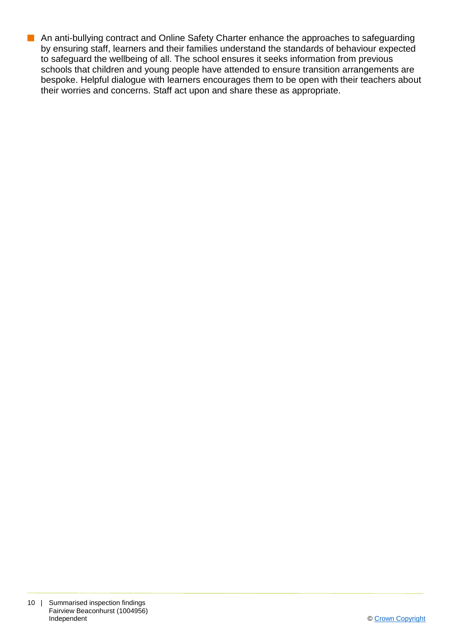**n** An anti-bullying contract and Online Safety Charter enhance the approaches to safeguarding by ensuring staff, learners and their families understand the standards of behaviour expected to safeguard the wellbeing of all. The school ensures it seeks information from previous schools that children and young people have attended to ensure transition arrangements are bespoke. Helpful dialogue with learners encourages them to be open with their teachers about their worries and concerns. Staff act upon and share these as appropriate.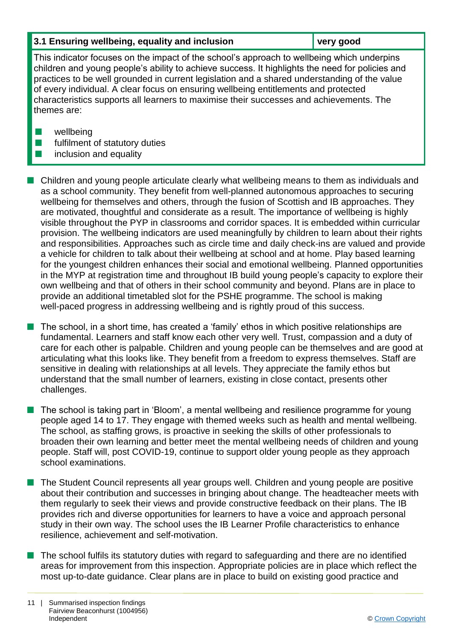#### **3.1 Ensuring wellbeing, equality and inclusion very good**

This indicator focuses on the impact of the school's approach to wellbeing which underpins children and young people's ability to achieve success. It highlights the need for policies and practices to be well grounded in current legislation and a shared understanding of the value of every individual. A clear focus on ensuring wellbeing entitlements and protected characteristics supports all learners to maximise their successes and achievements. The themes are:

- $\blacksquare$  wellbeing
- $\blacksquare$  fulfilment of statutory duties
- $\blacksquare$  inclusion and equality

**n** Children and young people articulate clearly what wellbeing means to them as individuals and as a school community. They benefit from well-planned autonomous approaches to securing wellbeing for themselves and others, through the fusion of Scottish and IB approaches. They are motivated, thoughtful and considerate as a result. The importance of wellbeing is highly visible throughout the PYP in classrooms and corridor spaces. It is embedded within curricular provision. The wellbeing indicators are used meaningfully by children to learn about their rights and responsibilities. Approaches such as circle time and daily check-ins are valued and provide a vehicle for children to talk about their wellbeing at school and at home. Play based learning for the youngest children enhances their social and emotional wellbeing. Planned opportunities in the MYP at registration time and throughout IB build young people's capacity to explore their own wellbeing and that of others in their school community and beyond. Plans are in place to provide an additional timetabled slot for the PSHE programme. The school is making well-paced progress in addressing wellbeing and is rightly proud of this success.

The school, in a short time, has created a 'family' ethos in which positive relationships are fundamental. Learners and staff know each other very well. Trust, compassion and a duty of care for each other is palpable. Children and young people can be themselves and are good at articulating what this looks like. They benefit from a freedom to express themselves. Staff are sensitive in dealing with relationships at all levels. They appreciate the family ethos but understand that the small number of learners, existing in close contact, presents other challenges.

The school is taking part in 'Bloom', a mental wellbeing and resilience programme for young people aged 14 to 17. They engage with themed weeks such as health and mental wellbeing. The school, as staffing grows, is proactive in seeking the skills of other professionals to broaden their own learning and better meet the mental wellbeing needs of children and young people. Staff will, post COVID-19, continue to support older young people as they approach school examinations.

■ The Student Council represents all year groups well. Children and young people are positive about their contribution and successes in bringing about change. The headteacher meets with them regularly to seek their views and provide constructive feedback on their plans. The IB provides rich and diverse opportunities for learners to have a voice and approach personal study in their own way. The school uses the IB Learner Profile characteristics to enhance resilience, achievement and self-motivation.

 $\blacksquare$  The school fulfils its statutory duties with regard to safeguarding and there are no identified areas for improvement from this inspection. Appropriate policies are in place which reflect the most up-to-date guidance. Clear plans are in place to build on existing good practice and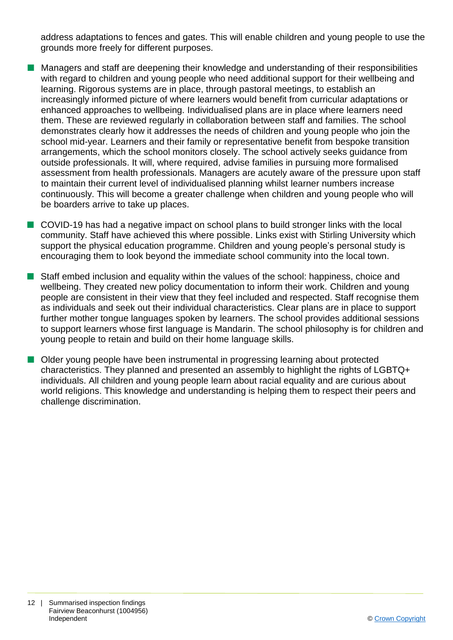address adaptations to fences and gates. This will enable children and young people to use the grounds more freely for different purposes.

- **n** Managers and staff are deepening their knowledge and understanding of their responsibilities with regard to children and young people who need additional support for their wellbeing and learning. Rigorous systems are in place, through pastoral meetings, to establish an increasingly informed picture of where learners would benefit from curricular adaptations or enhanced approaches to wellbeing. Individualised plans are in place where learners need them. These are reviewed regularly in collaboration between staff and families. The school demonstrates clearly how it addresses the needs of children and young people who join the school mid-year. Learners and their family or representative benefit from bespoke transition arrangements, which the school monitors closely. The school actively seeks guidance from outside professionals. It will, where required, advise families in pursuing more formalised assessment from health professionals. Managers are acutely aware of the pressure upon staff to maintain their current level of individualised planning whilst learner numbers increase continuously. This will become a greater challenge when children and young people who will be boarders arrive to take up places.
- COVID-19 has had a negative impact on school plans to build stronger links with the local community. Staff have achieved this where possible. Links exist with Stirling University which support the physical education programme. Children and young people's personal study is encouraging them to look beyond the immediate school community into the local town.
- $\blacksquare$  Staff embed inclusion and equality within the values of the school: happiness, choice and wellbeing. They created new policy documentation to inform their work. Children and young people are consistent in their view that they feel included and respected. Staff recognise them as individuals and seek out their individual characteristics. Clear plans are in place to support further mother tongue languages spoken by learners. The school provides additional sessions to support learners whose first language is Mandarin. The school philosophy is for children and young people to retain and build on their home language skills.
- **n** Older young people have been instrumental in progressing learning about protected characteristics. They planned and presented an assembly to highlight the rights of LGBTQ+ individuals. All children and young people learn about racial equality and are curious about world religions. This knowledge and understanding is helping them to respect their peers and challenge discrimination.